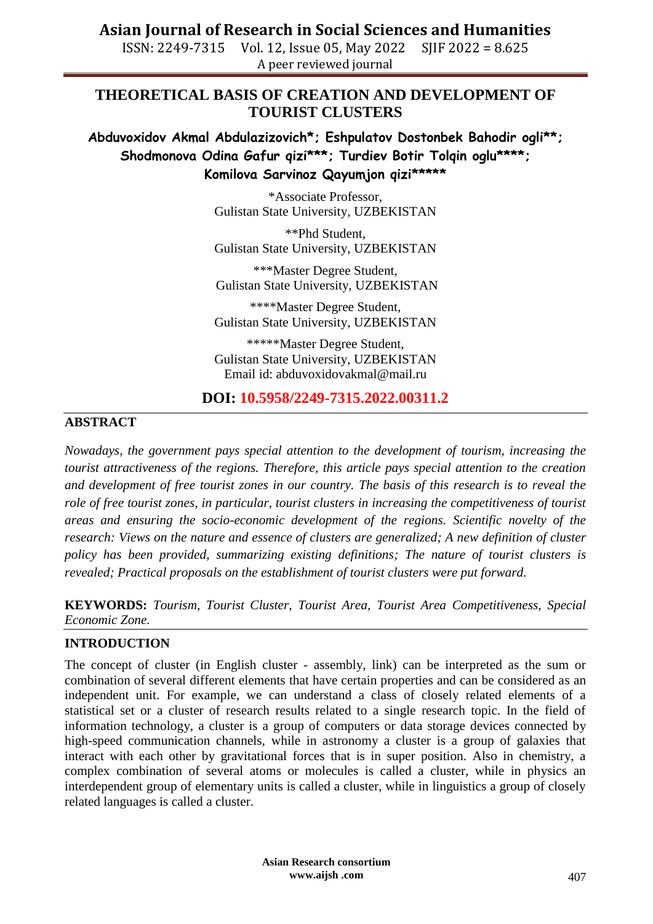ISSN: 2249-7315 Vol. 12, Issue 05, May 2022 SJIF 2022 = 8.625 A peer reviewed journal

### **THEORETICAL BASIS OF CREATION AND DEVELOPMENT OF TOURIST CLUSTERS**

**Abduvoxidov Akmal Abdulazizovich\*; Eshpulatov Dostonbek Bahodir ogli\*\*; Shodmonova Odina Gafur qizi\*\*\*; Turdiev Botir Tolqin oglu\*\*\*\*; Komilova Sarvinoz Qayumjon qizi\*\*\*\*\***

> \*Associate Professor, Gulistan State University, UZBEKISTAN

> \*\*Phd Student, Gulistan State University, UZBEKISTAN

> \*\*\*Master Degree Student, Gulistan State University, UZBEKISTAN

> \*\*\*\*Master Degree Student, Gulistan State University, UZBEKISTAN

> \*\*\*\*\*Master Degree Student, Gulistan State University, UZBEKISTAN Email id: abduvoxidovakmal@mail.ru

#### **DOI: 10.5958/2249-7315.2022.00311.2**

#### **ABSTRACT**

*Nowadays, the government pays special attention to the development of tourism, increasing the tourist attractiveness of the regions. Therefore, this article pays special attention to the creation and development of free tourist zones in our country. The basis of this research is to reveal the role of free tourist zones, in particular, tourist clusters in increasing the competitiveness of tourist areas and ensuring the socio-economic development of the regions. Scientific novelty of the research: Views on the nature and essence of clusters are generalized; A new definition of cluster policy has been provided, summarizing existing definitions; The nature of tourist clusters is revealed; Practical proposals on the establishment of tourist clusters were put forward.*

**KEYWORDS:** *Tourism, Tourist Cluster, Tourist Area, Tourist Area Competitiveness, Special Economic Zone.* 

#### **INTRODUCTION**

The concept of cluster (in English cluster - assembly, link) can be interpreted as the sum or combination of several different elements that have certain properties and can be considered as an independent unit. For example, we can understand a class of closely related elements of a statistical set or a cluster of research results related to a single research topic. In the field of information technology, a cluster is a group of computers or data storage devices connected by high-speed communication channels, while in astronomy a cluster is a group of galaxies that interact with each other by gravitational forces that is in super position. Also in chemistry, a complex combination of several atoms or molecules is called a cluster, while in physics an interdependent group of elementary units is called a cluster, while in linguistics a group of closely related languages is called a cluster.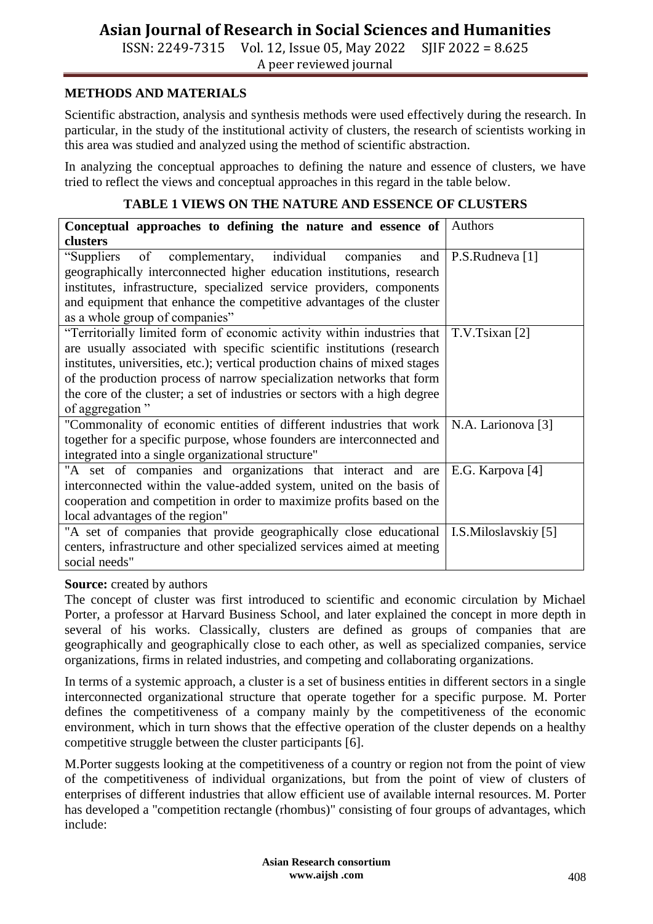ISSN: 2249-7315 Vol. 12, Issue 05, May 2022 SJIF 2022 = 8.625 A peer reviewed journal

#### **METHODS AND MATERIALS**

Scientific abstraction, analysis and synthesis methods were used effectively during the research. In particular, in the study of the institutional activity of clusters, the research of scientists working in this area was studied and analyzed using the method of scientific abstraction.

In analyzing the conceptual approaches to defining the nature and essence of clusters, we have tried to reflect the views and conceptual approaches in this regard in the table below.

#### **TABLE 1 VIEWS ON THE NATURE AND ESSENCE OF CLUSTERS**

| Conceptual approaches to defining the nature and essence of                 | Authors              |
|-----------------------------------------------------------------------------|----------------------|
| clusters                                                                    |                      |
| "Suppliers of complementary, individual companies and P.S.Rudneva [1]       |                      |
| geographically interconnected higher education institutions, research       |                      |
| institutes, infrastructure, specialized service providers, components       |                      |
| and equipment that enhance the competitive advantages of the cluster        |                      |
| as a whole group of companies"                                              |                      |
| "Territorially limited form of economic activity within industries that     | T.V.Tsixan [2]       |
| are usually associated with specific scientific institutions (research      |                      |
| institutes, universities, etc.); vertical production chains of mixed stages |                      |
| of the production process of narrow specialization networks that form       |                      |
| the core of the cluster; a set of industries or sectors with a high degree  |                      |
| of aggregation"                                                             |                      |
| "Commonality of economic entities of different industries that work         | N.A. Larionova [3]   |
| together for a specific purpose, whose founders are interconnected and      |                      |
| integrated into a single organizational structure"                          |                      |
| "A set of companies and organizations that interact and are                 | E.G. Karpova [4]     |
| interconnected within the value-added system, united on the basis of        |                      |
| cooperation and competition in order to maximize profits based on the       |                      |
| local advantages of the region"                                             |                      |
| "A set of companies that provide geographically close educational           | I.S.Miloslavskiy [5] |
| centers, infrastructure and other specialized services aimed at meeting     |                      |
| social needs"                                                               |                      |

#### **Source:** created by authors

The concept of cluster was first introduced to scientific and economic circulation by Michael Porter, a professor at Harvard Business School, and later explained the concept in more depth in several of his works. Classically, clusters are defined as groups of companies that are geographically and geographically close to each other, as well as specialized companies, service organizations, firms in related industries, and competing and collaborating organizations.

In terms of a systemic approach, a cluster is a set of business entities in different sectors in a single interconnected organizational structure that operate together for a specific purpose. M. Porter defines the competitiveness of a company mainly by the competitiveness of the economic environment, which in turn shows that the effective operation of the cluster depends on a healthy competitive struggle between the cluster participants [6].

M.Porter suggests looking at the competitiveness of a country or region not from the point of view of the competitiveness of individual organizations, but from the point of view of clusters of enterprises of different industries that allow efficient use of available internal resources. M. Porter has developed a "competition rectangle (rhombus)" consisting of four groups of advantages, which include: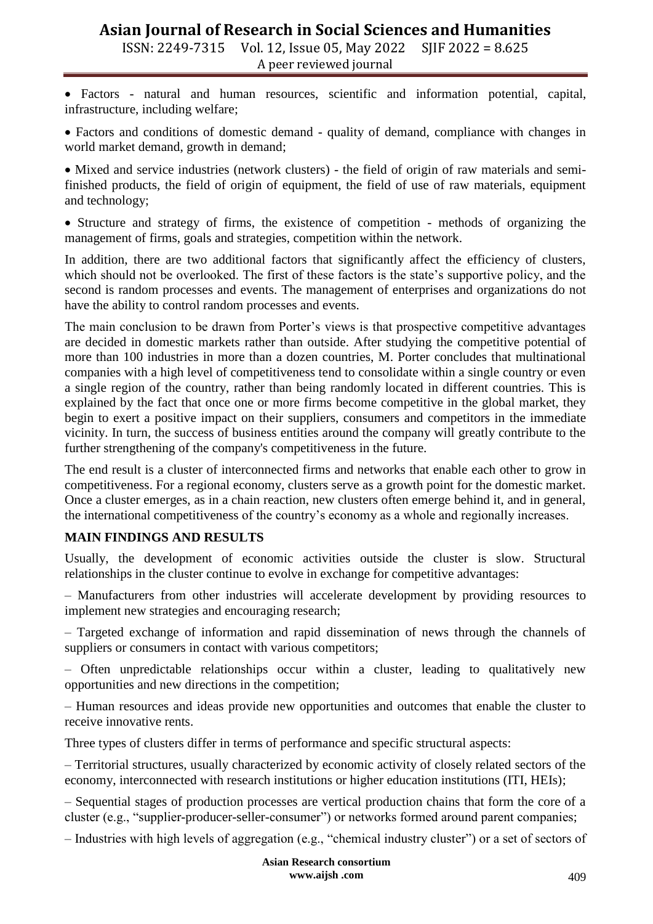ISSN: 2249-7315 Vol. 12, Issue 05, May 2022 SJIF 2022 = 8.625 A peer reviewed journal

 Factors - natural and human resources, scientific and information potential, capital, infrastructure, including welfare;

 Factors and conditions of domestic demand - quality of demand, compliance with changes in world market demand, growth in demand;

 Mixed and service industries (network clusters) - the field of origin of raw materials and semifinished products, the field of origin of equipment, the field of use of raw materials, equipment and technology;

• Structure and strategy of firms, the existence of competition - methods of organizing the management of firms, goals and strategies, competition within the network.

In addition, there are two additional factors that significantly affect the efficiency of clusters, which should not be overlooked. The first of these factors is the state's supportive policy, and the second is random processes and events. The management of enterprises and organizations do not have the ability to control random processes and events.

The main conclusion to be drawn from Porter's views is that prospective competitive advantages are decided in domestic markets rather than outside. After studying the competitive potential of more than 100 industries in more than a dozen countries, M. Porter concludes that multinational companies with a high level of competitiveness tend to consolidate within a single country or even a single region of the country, rather than being randomly located in different countries. This is explained by the fact that once one or more firms become competitive in the global market, they begin to exert a positive impact on their suppliers, consumers and competitors in the immediate vicinity. In turn, the success of business entities around the company will greatly contribute to the further strengthening of the company's competitiveness in the future.

The end result is a cluster of interconnected firms and networks that enable each other to grow in competitiveness. For a regional economy, clusters serve as a growth point for the domestic market. Once a cluster emerges, as in a chain reaction, new clusters often emerge behind it, and in general, the international competitiveness of the country's economy as a whole and regionally increases.

#### **MAIN FINDINGS AND RESULTS**

Usually, the development of economic activities outside the cluster is slow. Structural relationships in the cluster continue to evolve in exchange for competitive advantages:

– Manufacturers from other industries will accelerate development by providing resources to implement new strategies and encouraging research;

– Targeted exchange of information and rapid dissemination of news through the channels of suppliers or consumers in contact with various competitors;

– Often unpredictable relationships occur within a cluster, leading to qualitatively new opportunities and new directions in the competition;

– Human resources and ideas provide new opportunities and outcomes that enable the cluster to receive innovative rents.

Three types of clusters differ in terms of performance and specific structural aspects:

– Territorial structures, usually characterized by economic activity of closely related sectors of the economy, interconnected with research institutions or higher education institutions (ITI, HEIs);

– Sequential stages of production processes are vertical production chains that form the core of a cluster (e.g., "supplier-producer-seller-consumer") or networks formed around parent companies;

– Industries with high levels of aggregation (e.g., "chemical industry cluster") or a set of sectors of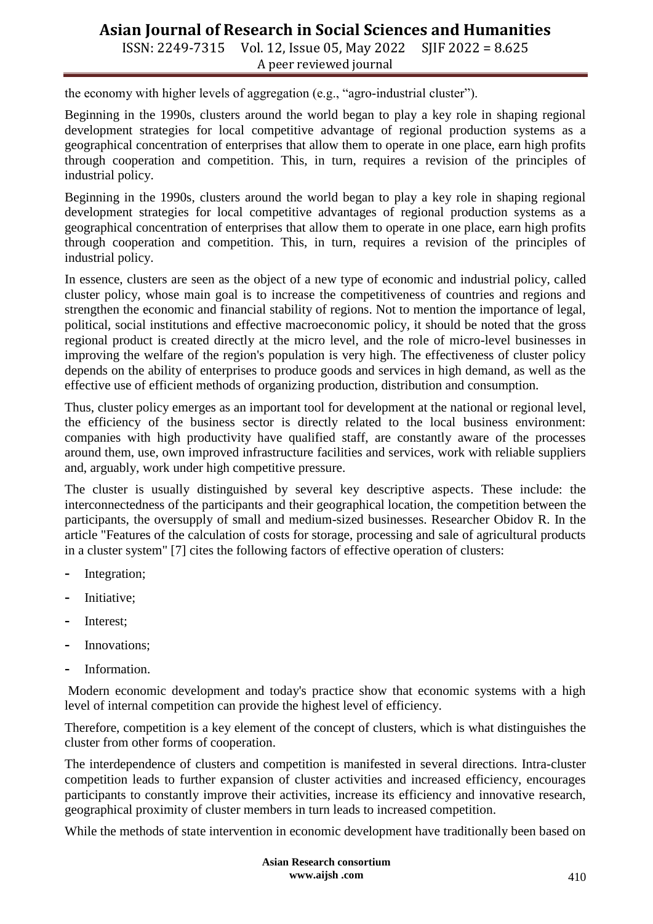ISSN: 2249-7315 Vol. 12, Issue 05, May 2022 SJIF 2022 = 8.625 A peer reviewed journal

the economy with higher levels of aggregation (e.g., "agro-industrial cluster").

Beginning in the 1990s, clusters around the world began to play a key role in shaping regional development strategies for local competitive advantage of regional production systems as a geographical concentration of enterprises that allow them to operate in one place, earn high profits through cooperation and competition. This, in turn, requires a revision of the principles of industrial policy.

Beginning in the 1990s, clusters around the world began to play a key role in shaping regional development strategies for local competitive advantages of regional production systems as a geographical concentration of enterprises that allow them to operate in one place, earn high profits through cooperation and competition. This, in turn, requires a revision of the principles of industrial policy.

In essence, clusters are seen as the object of a new type of economic and industrial policy, called cluster policy, whose main goal is to increase the competitiveness of countries and regions and strengthen the economic and financial stability of regions. Not to mention the importance of legal, political, social institutions and effective macroeconomic policy, it should be noted that the gross regional product is created directly at the micro level, and the role of micro-level businesses in improving the welfare of the region's population is very high. The effectiveness of cluster policy depends on the ability of enterprises to produce goods and services in high demand, as well as the effective use of efficient methods of organizing production, distribution and consumption.

Thus, cluster policy emerges as an important tool for development at the national or regional level, the efficiency of the business sector is directly related to the local business environment: companies with high productivity have qualified staff, are constantly aware of the processes around them, use, own improved infrastructure facilities and services, work with reliable suppliers and, arguably, work under high competitive pressure.

The cluster is usually distinguished by several key descriptive aspects. These include: the interconnectedness of the participants and their geographical location, the competition between the participants, the oversupply of small and medium-sized businesses. Researcher Obidov R. In the article "Features of the calculation of costs for storage, processing and sale of agricultural products in a cluster system" [7] cites the following factors of effective operation of clusters:

- **-** Integration;
- **-** Initiative;
- **-** Interest;
- **-** Innovations;
- **-** Information.

Modern economic development and today's practice show that economic systems with a high level of internal competition can provide the highest level of efficiency.

Therefore, competition is a key element of the concept of clusters, which is what distinguishes the cluster from other forms of cooperation.

The interdependence of clusters and competition is manifested in several directions. Intra-cluster competition leads to further expansion of cluster activities and increased efficiency, encourages participants to constantly improve their activities, increase its efficiency and innovative research, geographical proximity of cluster members in turn leads to increased competition.

While the methods of state intervention in economic development have traditionally been based on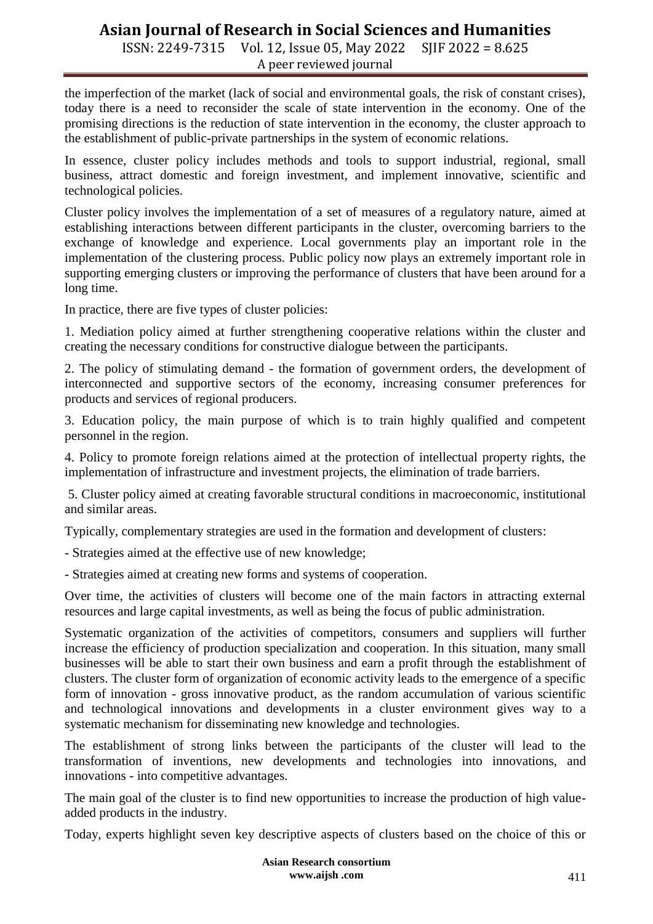ISSN: 2249-7315 Vol. 12, Issue 05, May 2022 SJIF 2022 = 8.625 A peer reviewed journal

the imperfection of the market (lack of social and environmental goals, the risk of constant crises), today there is a need to reconsider the scale of state intervention in the economy. One of the promising directions is the reduction of state intervention in the economy, the cluster approach to the establishment of public-private partnerships in the system of economic relations.

In essence, cluster policy includes methods and tools to support industrial, regional, small business, attract domestic and foreign investment, and implement innovative, scientific and technological policies.

Cluster policy involves the implementation of a set of measures of a regulatory nature, aimed at establishing interactions between different participants in the cluster, overcoming barriers to the exchange of knowledge and experience. Local governments play an important role in the implementation of the clustering process. Public policy now plays an extremely important role in supporting emerging clusters or improving the performance of clusters that have been around for a long time.

In practice, there are five types of cluster policies:

1. Mediation policy aimed at further strengthening cooperative relations within the cluster and creating the necessary conditions for constructive dialogue between the participants.

2. The policy of stimulating demand - the formation of government orders, the development of interconnected and supportive sectors of the economy, increasing consumer preferences for products and services of regional producers.

3. Education policy, the main purpose of which is to train highly qualified and competent personnel in the region.

4. Policy to promote foreign relations aimed at the protection of intellectual property rights, the implementation of infrastructure and investment projects, the elimination of trade barriers.

5. Cluster policy aimed at creating favorable structural conditions in macroeconomic, institutional and similar areas.

Typically, complementary strategies are used in the formation and development of clusters:

- Strategies aimed at the effective use of new knowledge;

- Strategies aimed at creating new forms and systems of cooperation.

Over time, the activities of clusters will become one of the main factors in attracting external resources and large capital investments, as well as being the focus of public administration.

Systematic organization of the activities of competitors, consumers and suppliers will further increase the efficiency of production specialization and cooperation. In this situation, many small businesses will be able to start their own business and earn a profit through the establishment of clusters. The cluster form of organization of economic activity leads to the emergence of a specific form of innovation - gross innovative product, as the random accumulation of various scientific and technological innovations and developments in a cluster environment gives way to a systematic mechanism for disseminating new knowledge and technologies.

The establishment of strong links between the participants of the cluster will lead to the transformation of inventions, new developments and technologies into innovations, and innovations - into competitive advantages.

The main goal of the cluster is to find new opportunities to increase the production of high valueadded products in the industry.

Today, experts highlight seven key descriptive aspects of clusters based on the choice of this or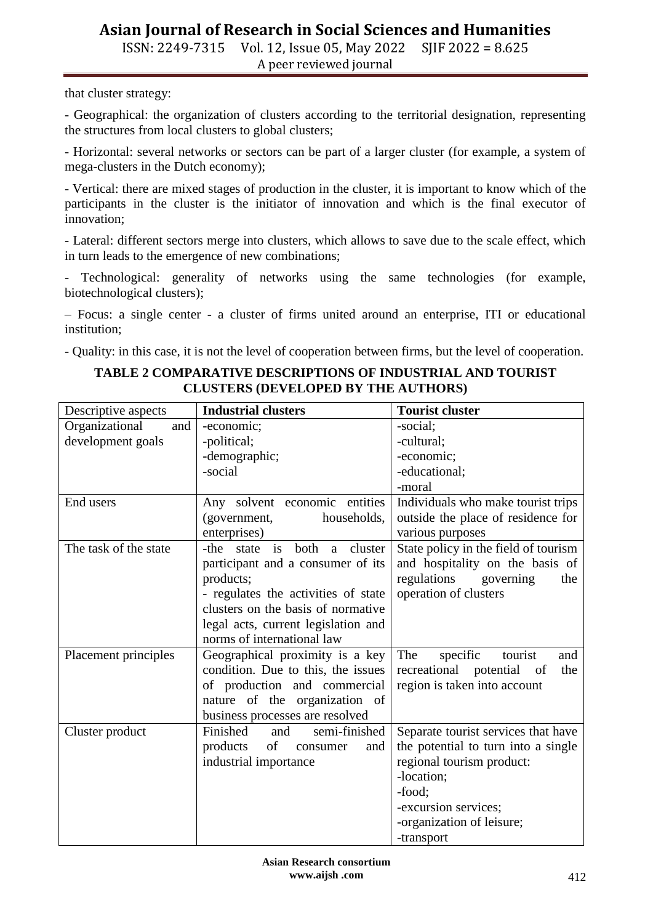ISSN: 2249-7315 Vol. 12, Issue 05, May 2022 SJIF 2022 = 8.625 A peer reviewed journal

that cluster strategy:

- Geographical: the organization of clusters according to the territorial designation, representing the structures from local clusters to global clusters;

- Horizontal: several networks or sectors can be part of a larger cluster (for example, a system of mega-clusters in the Dutch economy);

- Vertical: there are mixed stages of production in the cluster, it is important to know which of the participants in the cluster is the initiator of innovation and which is the final executor of innovation;

- Lateral: different sectors merge into clusters, which allows to save due to the scale effect, which in turn leads to the emergence of new combinations;

- Technological: generality of networks using the same technologies (for example, biotechnological clusters);

– Focus: a single center - a cluster of firms united around an enterprise, ITI or educational institution;

- Quality: in this case, it is not the level of cooperation between firms, but the level of cooperation.

| Descriptive aspects   | <b>Industrial clusters</b>            | <b>Tourist cluster</b>               |
|-----------------------|---------------------------------------|--------------------------------------|
| Organizational<br>and | -economic;                            | -social;                             |
| development goals     | -political;                           | -cultural;                           |
|                       | -demographic;                         | -economic;                           |
|                       | -social                               | -educational;                        |
|                       |                                       | -moral                               |
| End users             | Any solvent economic entities         | Individuals who make tourist trips   |
|                       | households,<br>(government,           | outside the place of residence for   |
|                       | enterprises)                          | various purposes                     |
| The task of the state | is<br>both a cluster<br>-the<br>state | State policy in the field of tourism |
|                       | participant and a consumer of its     | and hospitality on the basis of      |
|                       | products;                             | regulations<br>governing<br>the      |
|                       | - regulates the activities of state   | operation of clusters                |
|                       | clusters on the basis of normative    |                                      |
|                       | legal acts, current legislation and   |                                      |
|                       | norms of international law            |                                      |
| Placement principles  | Geographical proximity is a key       | The<br>specific<br>tourist<br>and    |
|                       | condition. Due to this, the issues    | recreational potential<br>the<br>of  |
|                       | of production and commercial          | region is taken into account         |
|                       | nature of the organization of         |                                      |
|                       | business processes are resolved       |                                      |
| Cluster product       | Finished<br>and<br>semi-finished      | Separate tourist services that have  |
|                       | products<br>of<br>consumer<br>and     | the potential to turn into a single  |
|                       | industrial importance                 | regional tourism product:            |
|                       |                                       | -location;                           |
|                       |                                       | -food;                               |
|                       |                                       | -excursion services;                 |
|                       |                                       | -organization of leisure;            |
|                       |                                       | -transport                           |

#### **TABLE 2 COMPARATIVE DESCRIPTIONS OF INDUSTRIAL AND TOURIST CLUSTERS (DEVELOPED BY THE AUTHORS)**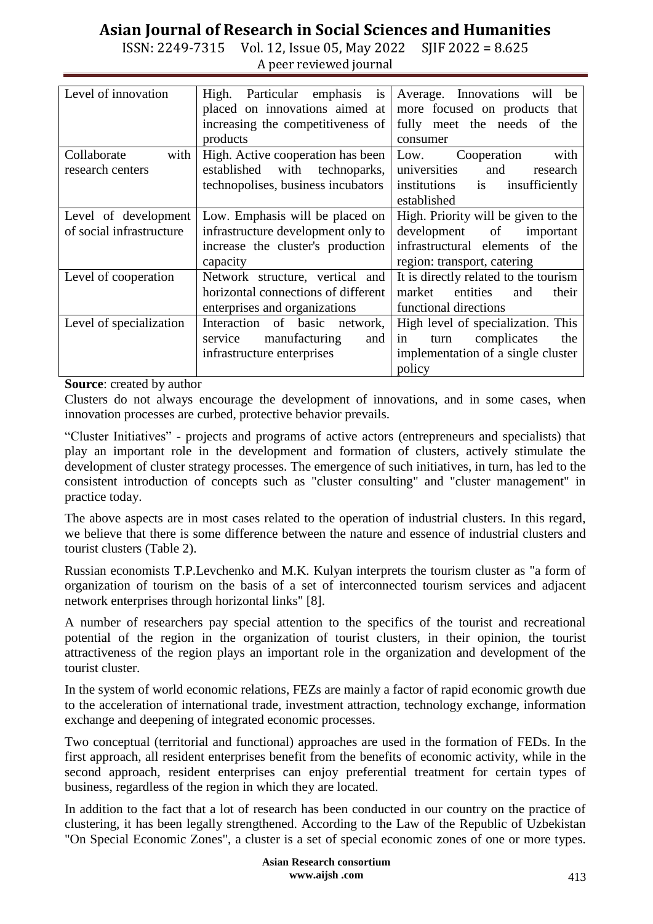ISSN: 2249-7315 Vol. 12, Issue 05, May 2022 SJIF 2022 = 8.625 A peer reviewed journal

| Level of innovation      | High.<br>Particular emphasis is     | Average. Innovations<br>will<br>be    |
|--------------------------|-------------------------------------|---------------------------------------|
|                          | placed on innovations aimed at      | more focused on products that         |
|                          | increasing the competitiveness of   | fully meet the needs of the           |
|                          | products                            | consumer                              |
| with<br>Collaborate      | High. Active cooperation has been   | with<br>Low.<br>Cooperation           |
| research centers         | established<br>with technoparks,    | universities<br>and<br>research       |
|                          | technopolises, business incubators  | institutions<br>insufficiently<br>is  |
|                          |                                     | established                           |
| Level of development     | Low. Emphasis will be placed on     | High. Priority will be given to the   |
| of social infrastructure | infrastructure development only to  | development of<br>important           |
|                          | increase the cluster's production   | infrastructural elements of the       |
|                          | capacity                            | region: transport, catering           |
| Level of cooperation     | Network structure, vertical and     | It is directly related to the tourism |
|                          | horizontal connections of different | market<br>entities<br>their<br>and    |
|                          | enterprises and organizations       | functional directions                 |
| Level of specialization  | Interaction of basic network,       | High level of specialization. This    |
|                          | manufacturing<br>service<br>and     | in<br>complicates<br>the<br>turn      |
|                          | infrastructure enterprises          | implementation of a single cluster    |
|                          |                                     | policy                                |

**Source**: created by author

Clusters do not always encourage the development of innovations, and in some cases, when innovation processes are curbed, protective behavior prevails.

"Cluster Initiatives" - projects and programs of active actors (entrepreneurs and specialists) that play an important role in the development and formation of clusters, actively stimulate the development of cluster strategy processes. The emergence of such initiatives, in turn, has led to the consistent introduction of concepts such as "cluster consulting" and "cluster management" in practice today.

The above aspects are in most cases related to the operation of industrial clusters. In this regard, we believe that there is some difference between the nature and essence of industrial clusters and tourist clusters (Table 2).

Russian economists T.P.Levchenko and M.K. Kulyan interprets the tourism cluster as "a form of organization of tourism on the basis of a set of interconnected tourism services and adjacent network enterprises through horizontal links" [8].

A number of researchers pay special attention to the specifics of the tourist and recreational potential of the region in the organization of tourist clusters, in their opinion, the tourist attractiveness of the region plays an important role in the organization and development of the tourist cluster.

In the system of world economic relations, FEZs are mainly a factor of rapid economic growth due to the acceleration of international trade, investment attraction, technology exchange, information exchange and deepening of integrated economic processes.

Two conceptual (territorial and functional) approaches are used in the formation of FEDs. In the first approach, all resident enterprises benefit from the benefits of economic activity, while in the second approach, resident enterprises can enjoy preferential treatment for certain types of business, regardless of the region in which they are located.

In addition to the fact that a lot of research has been conducted in our country on the practice of clustering, it has been legally strengthened. According to the Law of the Republic of Uzbekistan "On Special Economic Zones", a cluster is a set of special economic zones of one or more types.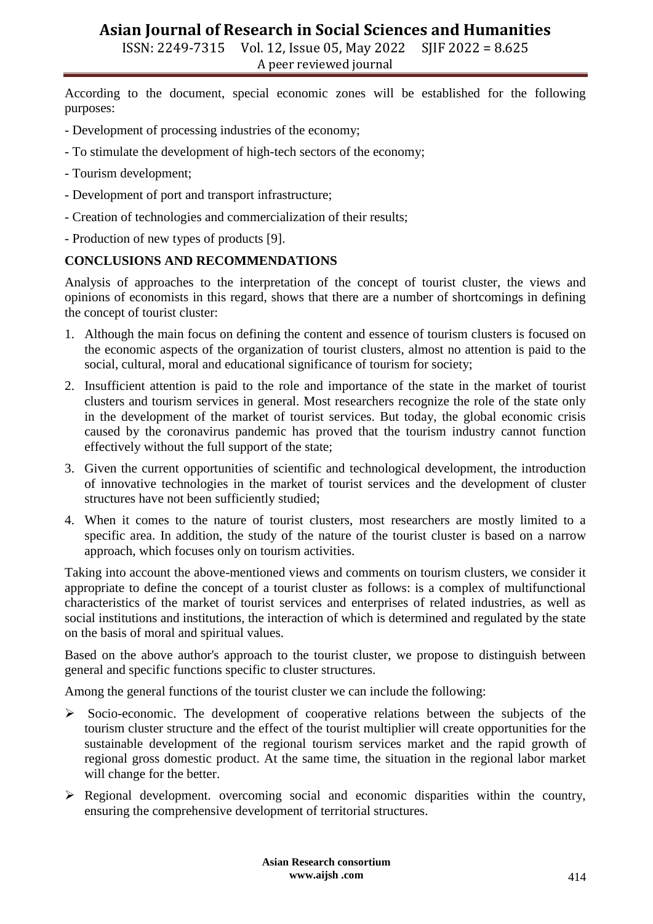ISSN: 2249-7315 Vol. 12, Issue 05, May 2022 SJIF 2022 = 8.625 A peer reviewed journal

According to the document, special economic zones will be established for the following purposes:

- Development of processing industries of the economy;
- To stimulate the development of high-tech sectors of the economy;
- Tourism development;
- Development of port and transport infrastructure;
- Creation of technologies and commercialization of their results;
- Production of new types of products [9].

#### **CONCLUSIONS AND RECOMMENDATIONS**

Analysis of approaches to the interpretation of the concept of tourist cluster, the views and opinions of economists in this regard, shows that there are a number of shortcomings in defining the concept of tourist cluster:

- 1. Although the main focus on defining the content and essence of tourism clusters is focused on the economic aspects of the organization of tourist clusters, almost no attention is paid to the social, cultural, moral and educational significance of tourism for society;
- 2. Insufficient attention is paid to the role and importance of the state in the market of tourist clusters and tourism services in general. Most researchers recognize the role of the state only in the development of the market of tourist services. But today, the global economic crisis caused by the coronavirus pandemic has proved that the tourism industry cannot function effectively without the full support of the state;
- 3. Given the current opportunities of scientific and technological development, the introduction of innovative technologies in the market of tourist services and the development of cluster structures have not been sufficiently studied;
- 4. When it comes to the nature of tourist clusters, most researchers are mostly limited to a specific area. In addition, the study of the nature of the tourist cluster is based on a narrow approach, which focuses only on tourism activities.

Taking into account the above-mentioned views and comments on tourism clusters, we consider it appropriate to define the concept of a tourist cluster as follows: is a complex of multifunctional characteristics of the market of tourist services and enterprises of related industries, as well as social institutions and institutions, the interaction of which is determined and regulated by the state on the basis of moral and spiritual values.

Based on the above author's approach to the tourist cluster, we propose to distinguish between general and specific functions specific to cluster structures.

Among the general functions of the tourist cluster we can include the following:

- $\triangleright$  Socio-economic. The development of cooperative relations between the subjects of the tourism cluster structure and the effect of the tourist multiplier will create opportunities for the sustainable development of the regional tourism services market and the rapid growth of regional gross domestic product. At the same time, the situation in the regional labor market will change for the better.
- $\triangleright$  Regional development. overcoming social and economic disparities within the country, ensuring the comprehensive development of territorial structures.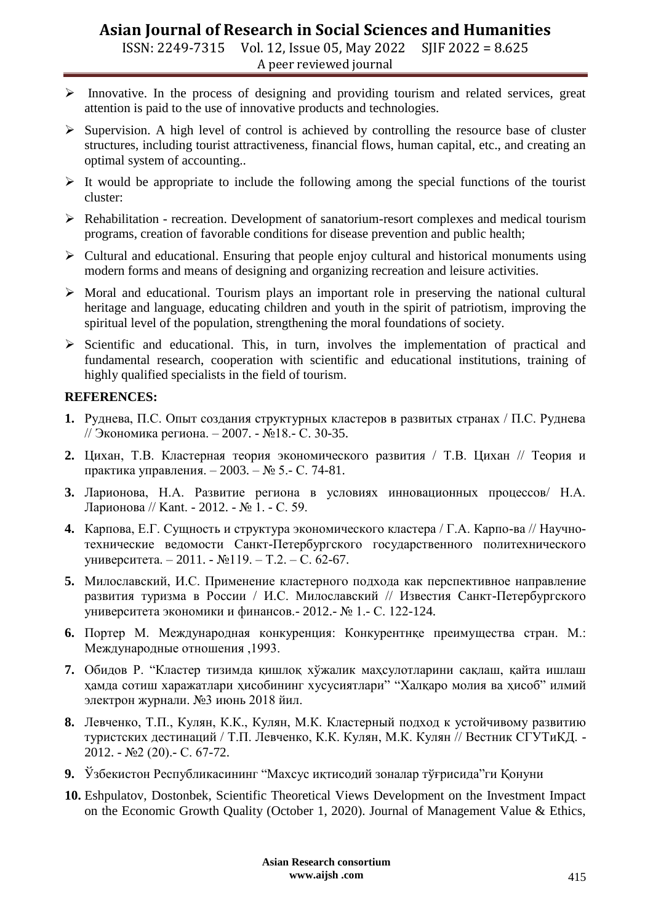ISSN: 2249-7315 Vol. 12, Issue 05, May 2022 SJIF 2022 = 8.625 A peer reviewed journal

- $\triangleright$  Innovative. In the process of designing and providing tourism and related services, great attention is paid to the use of innovative products and technologies.
- $\triangleright$  Supervision. A high level of control is achieved by controlling the resource base of cluster structures, including tourist attractiveness, financial flows, human capital, etc., and creating an optimal system of accounting..
- $\triangleright$  It would be appropriate to include the following among the special functions of the tourist cluster:
- Rehabilitation recreation. Development of sanatorium-resort complexes and medical tourism programs, creation of favorable conditions for disease prevention and public health;
- $\triangleright$  Cultural and educational. Ensuring that people enjoy cultural and historical monuments using modern forms and means of designing and organizing recreation and leisure activities.
- $\triangleright$  Moral and educational. Tourism plays an important role in preserving the national cultural heritage and language, educating children and youth in the spirit of patriotism, improving the spiritual level of the population, strengthening the moral foundations of society.
- $\triangleright$  Scientific and educational. This, in turn, involves the implementation of practical and fundamental research, cooperation with scientific and educational institutions, training of highly qualified specialists in the field of tourism.

### **REFERENCES:**

- **1.** Руднева, П.С. Опыт создания структурных кластеров в развитых странах / П.С. Руднева // Экономика региона. – 2007. - №18.- С. 30-35.
- **2.** Цихан, Т.В. Кластерная теория экономического развития / Т.В. Цихан // Теория и практика управления. – 2003. – № 5.- С. 74-81.
- **3.** Ларионова, Н.А. Развитие региона в условиях инновационных процессов/ Н.А. Ларионова // Kant. - 2012. - № 1. - С. 59.
- **4.** Карпова, Е.Г. Сущность и структура экономического кластера / Г.А. Карпо-ва // Научнотехнические ведомости Санкт-Петербургского государственного политехнического университета. – 2011. - №119. – Т.2. – С. 62-67.
- **5.** Милославский, И.С. Применение кластерного подхода как перспективное направление развития туризма в России / И.С. Милославский // Известия Санкт-Петербургского университета экономики и финансов.- 2012.- № 1.- С. 122-124.
- **6.** Портер М. Международная конкуренция: Конкурентнқе преимущества стран. М.: Международные отношения ,1993.
- **7.** Обидов Р. "Кластер тизимда қишлоқ хўжалик маҳсулотларини сақлаш, қайта ишлаш ҳамда сотиш харажатлари ҳисобининг хусусиятлари" "Халқаро молия ва ҳисоб" илмий электрон журнали. №3 июнь 2018 йил.
- **8.** Левченко, Т.П., Кулян, К.К., Кулян, М.К. Кластерный подход к устойчивому развитию туристских дестинаций / Т.П. Левченко, К.К. Кулян, М.К. Кулян // Вестник СГУТиКД. - 2012. - №2 (20).- С. 67-72.
- **9.** Ўзбекистон Республикасининг "Махсус иқтисодий зоналар тўғрисида"ги Қонуни
- **10.** Eshpulatov, Dostonbek, Scientific Theoretical Views Development on the Investment Impact on the Economic Growth Quality (October 1, 2020). Journal of Management Value & Ethics,